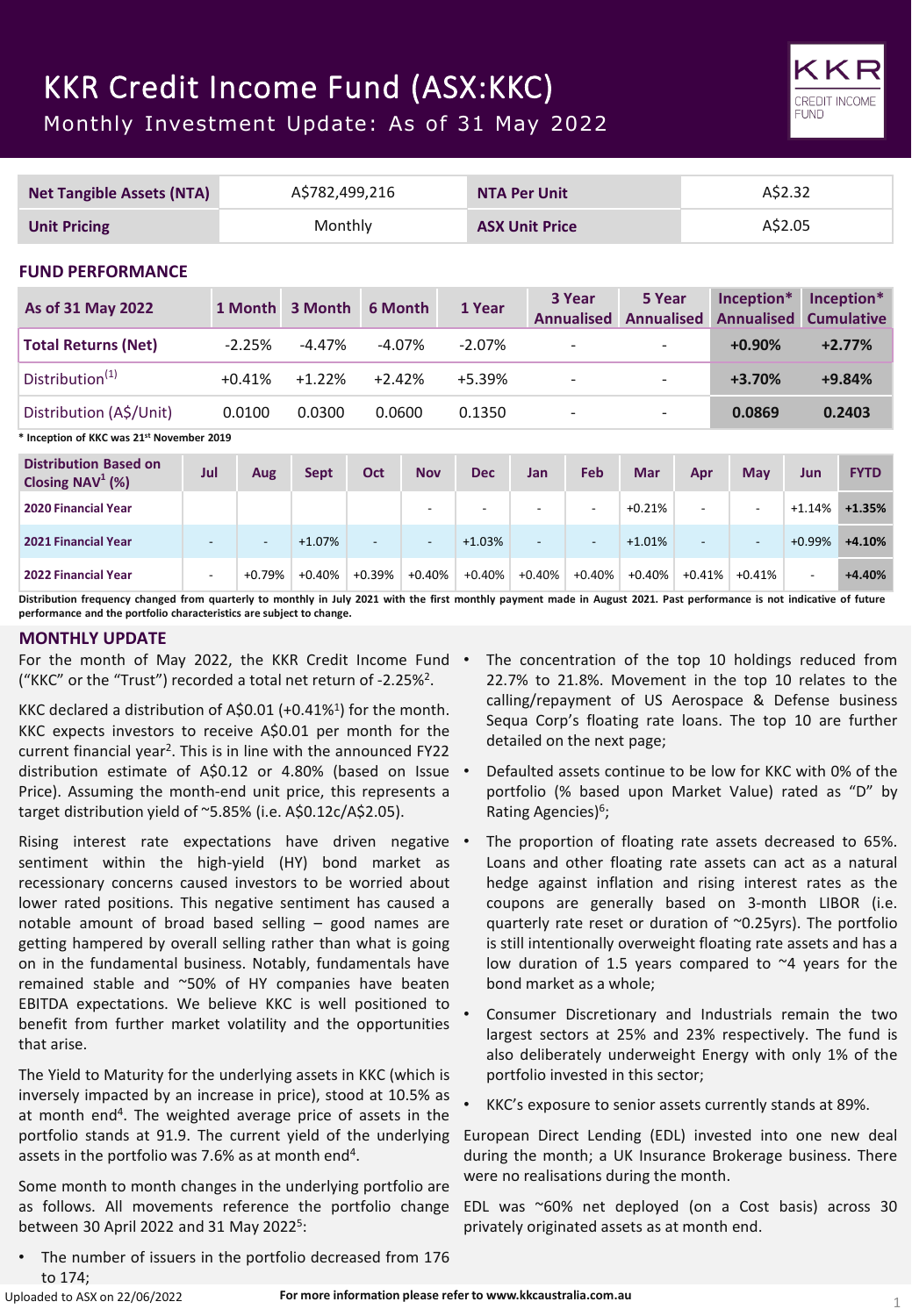# KKR Credit Income Fund (ASX:KKC)

Monthly Investment Update: As of 31 May 2022

|                                                                  | <b>Net Tangible Assets (NTA)</b> |                          |          | A\$782,499,216           | <b>NTA Per Unit</b>      |            |                          | A\$2.32                      |                             |                          |                                 |                |                                 |
|------------------------------------------------------------------|----------------------------------|--------------------------|----------|--------------------------|--------------------------|------------|--------------------------|------------------------------|-----------------------------|--------------------------|---------------------------------|----------------|---------------------------------|
| <b>Unit Pricing</b>                                              |                                  | Monthly                  |          |                          | <b>ASX Unit Price</b>    |            |                          |                              | A\$2.05                     |                          |                                 |                |                                 |
| <b>FUND PERFORMANCE</b>                                          |                                  |                          |          |                          |                          |            |                          |                              |                             |                          |                                 |                |                                 |
| As of 31 May 2022                                                |                                  | 1 Month                  | 3 Month  | 6 Month                  |                          | 1 Year     |                          | 3 Year<br><b>Annualised</b>  | 5 Year<br><b>Annualised</b> |                          | Inception*<br><b>Annualised</b> |                | Inception*<br><b>Cumulative</b> |
| <b>Total Returns (Net)</b>                                       |                                  | $-2.25%$                 | $-4.47%$ |                          | $-4.07%$                 | $-2.07%$   |                          | $\overline{\phantom{0}}$     |                             |                          | $+0.90%$                        |                | $+2.77%$                        |
| Distribution <sup>(1)</sup>                                      |                                  | $+0.41%$                 | $+1.22%$ | $+2.42%$                 |                          | +5.39%     |                          |                              |                             |                          | $+3.70%$                        |                | $+9.84%$                        |
| Distribution (A\$/Unit)                                          |                                  | 0.0100                   | 0.0300   | 0.0600                   |                          | 0.1350     | $\overline{\phantom{a}}$ |                              | $\overline{\phantom{0}}$    |                          | 0.0869                          |                | 0.2403                          |
| <sup>*</sup> Inception of KKC was 21 <sup>st</sup> November 2019 |                                  |                          |          |                          |                          |            |                          |                              |                             |                          |                                 |                |                                 |
| <b>Distribution Based on</b><br>Closing NAV <sup>1</sup> (%)     | Jul                              | Aug                      | Sept     | <b>Oct</b>               | <b>Nov</b>               | <b>Dec</b> | <b>Jan</b>               | Feb                          | <b>Mar</b>                  | Apr                      | <b>May</b>                      | Jun            | <b>FYTD</b>                     |
| <b>2020 Financial Year</b>                                       |                                  |                          |          |                          | $\overline{\phantom{a}}$ |            | $\overline{\phantom{a}}$ | ٠                            | $+0.21%$                    | $\overline{\phantom{a}}$ | $\overline{\phantom{a}}$        | $+1.14%$       | $+1.35%$                        |
| 2021 Financial Year                                              | $\blacksquare$                   | $\overline{\phantom{a}}$ | $+1.07%$ | $\overline{\phantom{a}}$ | $\overline{\phantom{a}}$ | $+1.03%$   | $\overline{\phantom{a}}$ | $\qquad \qquad \blacksquare$ | $+1.01%$                    | $\overline{a}$           |                                 | $+0.99%$       | $+4.10%$                        |
| <b>2022 Financial Year</b>                                       | $\overline{\phantom{a}}$         | $+0.79%$                 | $+0.40%$ | $+0.39%$                 | $+0.40%$                 | $+0.40%$   | $+0.40%$                 | $+0.40%$                     | $+0.40%$                    | $+0.41%$                 | $+0.41%$                        | $\blacksquare$ | $+4.40%$                        |

Distribution frequency changed from quarterly to monthly in July 2021 with the first monthly payment made in August 2021. Past performance is not indicative of future **performance and the portfolio characteristics are subject to change.**

# **MONTHLY UPDATE**

For the month of May 2022, the KKR Credit Income Fund . ("KKC" or the "Trust") recorded a total net return of -2.25%2.

KKC declared a distribution of A\$0.01 (+0.41%<sup>1</sup>) for the month. KKC expects investors to receive A\$0.01 per month for the current financial year<sup>2</sup>. This is in line with the announced FY22 distribution estimate of A\$0.12 or 4.80% (based on Issue Price). Assuming the month-end unit price, this represents a target distribution yield of ~5.85% (i.e. A\$0.12c/A\$2.05).

Rising interest rate expectations have driven negative • sentiment within the high-yield (HY) bond market as recessionary concerns caused investors to be worried about lower rated positions. This negative sentiment has caused a notable amount of broad based selling – good names are getting hampered by overall selling rather than what is going on in the fundamental business. Notably, fundamentals have remained stable and ~50% of HY companies have beaten EBITDA expectations. We believe KKC is well positioned to benefit from further market volatility and the opportunities that arise.

The Yield to Maturity for the underlying assets in KKC (which is inversely impacted by an increase in price), stood at 10.5% as at month end<sup>4</sup>. The weighted average price of assets in the portfolio stands at 91.9. The current yield of the underlying assets in the portfolio was 7.6% as at month end<sup>4</sup>.

Some month to month changes in the underlying portfolio are as follows. All movements reference the portfolio change between 30 April 2022 and 31 May 2022<sup>5</sup>:

• The number of issuers in the portfolio decreased from 176 to 174;

The concentration of the top 10 holdings reduced from 22.7% to 21.8%. Movement in the top 10 relates to the calling/repayment of US Aerospace & Defense business Sequa Corp's floating rate loans. The top 10 are further detailed on the next page;

CREDIT INCOM **FUND** 

- Defaulted assets continue to be low for KKC with 0% of the portfolio (% based upon Market Value) rated as "D" by Rating Agencies)<sup>6</sup>;
- The proportion of floating rate assets decreased to 65%. Loans and other floating rate assets can act as a natural hedge against inflation and rising interest rates as the coupons are generally based on 3-month LIBOR (i.e. quarterly rate reset or duration of ~0.25yrs). The portfolio is still intentionally overweight floating rate assets and has a low duration of 1.5 years compared to  $\sim$ 4 years for the bond market as a whole;
- Consumer Discretionary and Industrials remain the two largest sectors at 25% and 23% respectively. The fund is also deliberately underweight Energy with only 1% of the portfolio invested in this sector;
- KKC's exposure to senior assets currently stands at 89%.

European Direct Lending (EDL) invested into one new deal during the month; a UK Insurance Brokerage business. There were no realisations during the month.

EDL was ~60% net deployed (on a Cost basis) across 30 privately originated assets as at month end.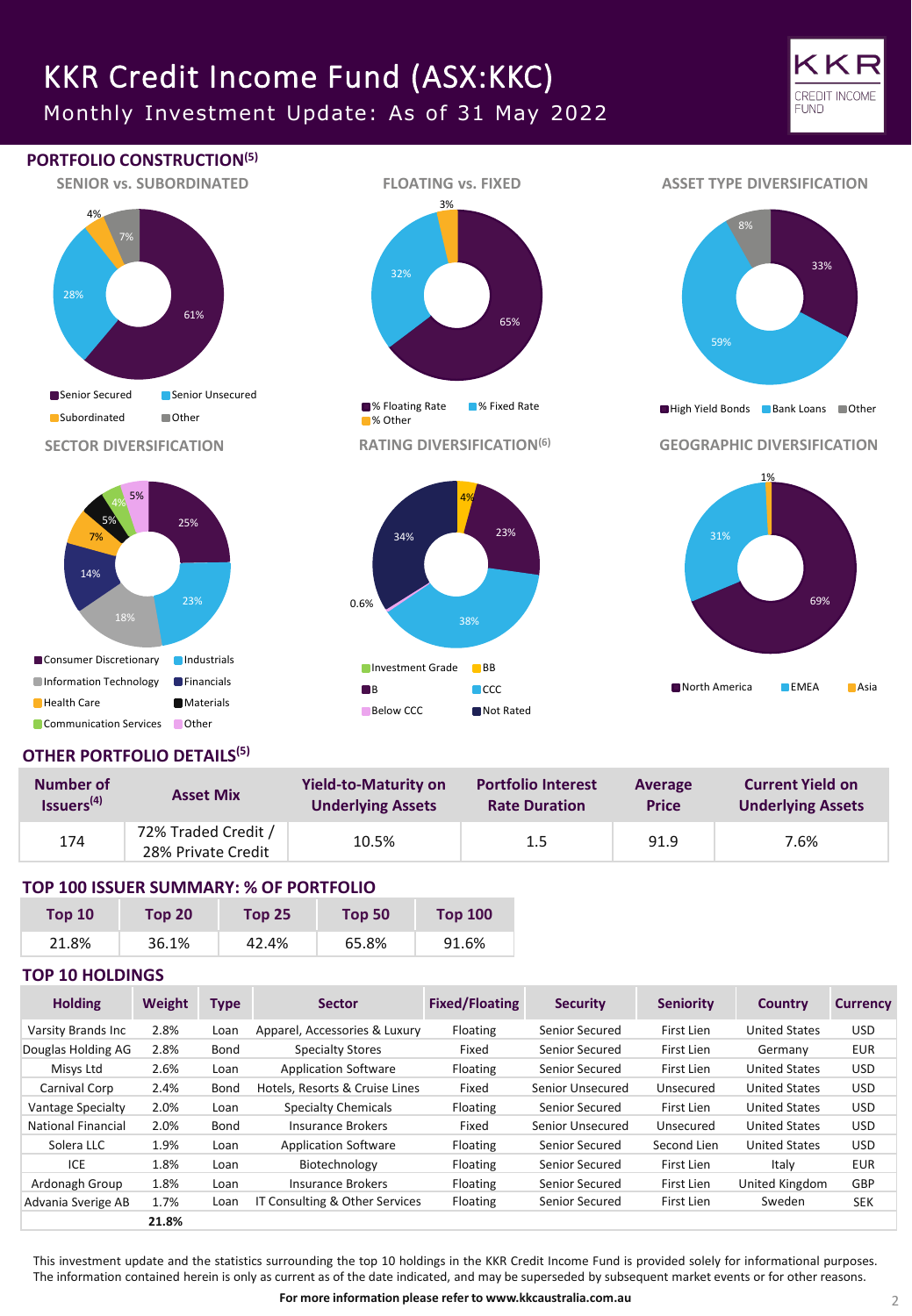# KKR Credit Income Fund (ASX:KKC)

Monthly Investment Update: As of 31 May 2022



33%

69%



# **OTHER PORTFOLIO DETAILS(5)**

**Communication Services Cother** 

| Number of              | <b>Asset Mix</b>                          | <b>Yield-to-Maturity on</b> | <b>Portfolio Interest</b> | Average      | <b>Current Yield on</b>  |  |
|------------------------|-------------------------------------------|-----------------------------|---------------------------|--------------|--------------------------|--|
| Issuers <sup>(4)</sup> |                                           | <b>Underlying Assets</b>    | <b>Rate Duration</b>      | <b>Price</b> | <b>Underlying Assets</b> |  |
| 174                    | 72% Traded Credit /<br>28% Private Credit | 10.5%                       | 1.5                       | 91.9         | 7.6%                     |  |

## **TOP 100 ISSUER SUMMARY: % OF PORTFOLIO**

| <b>Top 10</b> | Top 20 | <b>Top 25</b> | Top 50 | <b>Top 100</b> |
|---------------|--------|---------------|--------|----------------|
| 21.8%         | 36.1%  | 42.4%         | 65.8%  | 91.6%          |

## **TOP 10 HOLDINGS**

| <b>Holding</b>     | Weight | <b>Type</b> | <b>Sector</b>                  | <b>Fixed/Floating</b> | <b>Security</b>  | <b>Seniority</b> | <b>Country</b>       | <b>Currency</b> |
|--------------------|--------|-------------|--------------------------------|-----------------------|------------------|------------------|----------------------|-----------------|
| Varsity Brands Inc | 2.8%   | Loan        | Apparel, Accessories & Luxury  | Floating              | Senior Secured   | First Lien       | <b>United States</b> | <b>USD</b>      |
| Douglas Holding AG | 2.8%   | Bond        | <b>Specialty Stores</b>        | Fixed                 | Senior Secured   | First Lien       | Germany              | <b>EUR</b>      |
| Misys Ltd          | 2.6%   | Loan        | <b>Application Software</b>    | Floating              | Senior Secured   | First Lien       | <b>United States</b> | <b>USD</b>      |
| Carnival Corp      | 2.4%   | Bond        | Hotels, Resorts & Cruise Lines | Fixed                 | Senior Unsecured | Unsecured        | <b>United States</b> | <b>USD</b>      |
| Vantage Specialty  | 2.0%   | Loan        | <b>Specialty Chemicals</b>     | Floating              | Senior Secured   | First Lien       | <b>United States</b> | <b>USD</b>      |
| National Financial | 2.0%   | Bond        | Insurance Brokers              | Fixed                 | Senior Unsecured | Unsecured        | <b>United States</b> | USD.            |
| Solera LLC         | 1.9%   | Loan        | <b>Application Software</b>    | Floating              | Senior Secured   | Second Lien      | <b>United States</b> | <b>USD</b>      |
| ICE                | 1.8%   | Loan        | Biotechnology                  | Floating              | Senior Secured   | First Lien       | Italy                | <b>EUR</b>      |
| Ardonagh Group     | 1.8%   | Loan        | Insurance Brokers              | Floating              | Senior Secured   | First Lien       | United Kingdom       | <b>GBP</b>      |
| Advania Sverige AB | 1.7%   | Loan        | IT Consulting & Other Services | Floating              | Senior Secured   | First Lien       | Sweden               | <b>SEK</b>      |
|                    | 21.8%  |             |                                |                       |                  |                  |                      |                 |

This investment update and the statistics surrounding the top 10 holdings in the KKR Credit Income Fund is provided solely for informational purposes. The information contained herein is only as current as of the date indicated, and may be superseded by subsequent market events or for other reasons.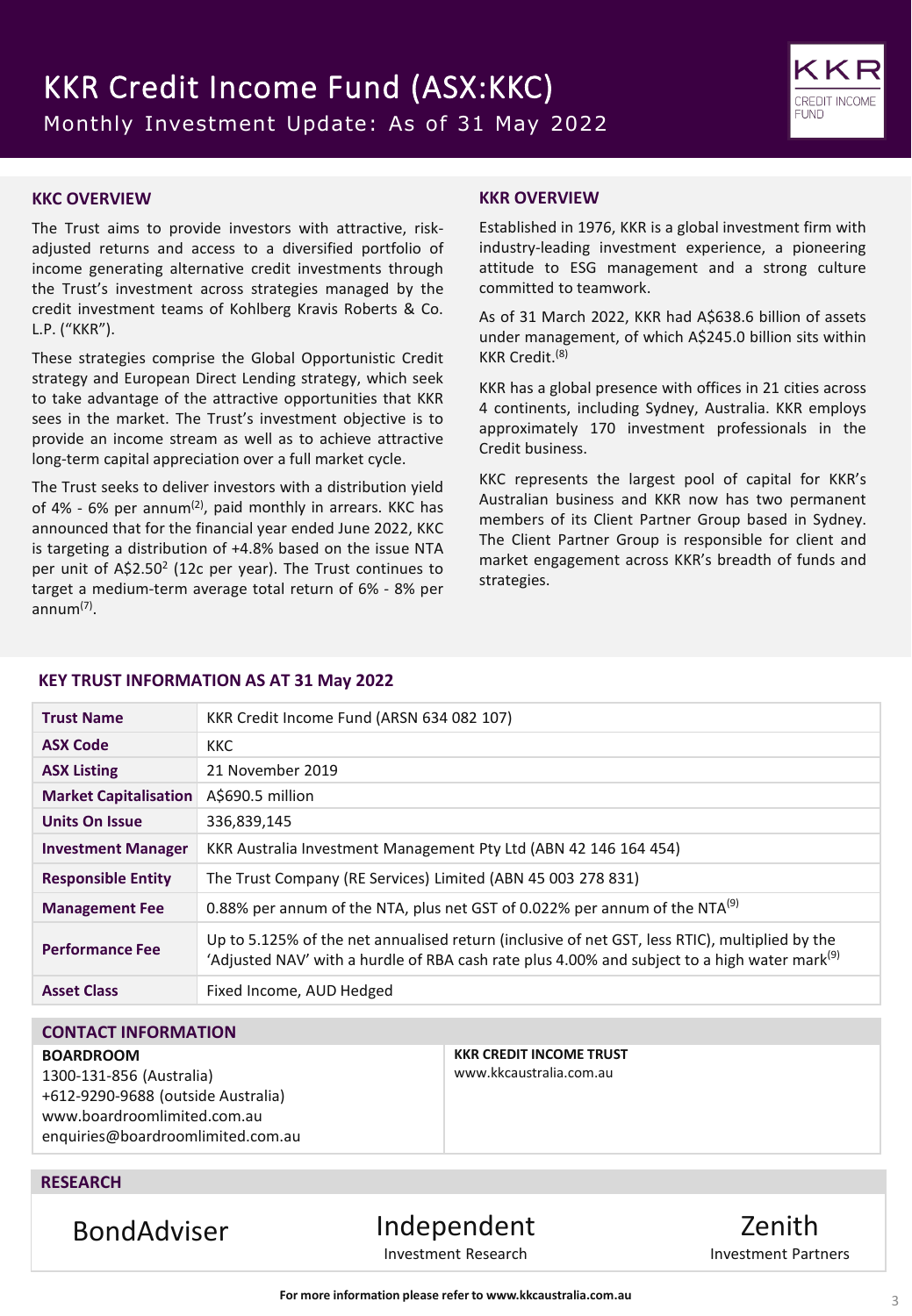

## **KKC OVERVIEW**

The Trust aims to provide investors with attractive, riskadjusted returns and access to a diversified portfolio of income generating alternative credit investments through the Trust's investment across strategies managed by the credit investment teams of Kohlberg Kravis Roberts & Co. L.P. ("KKR").

These strategies comprise the Global Opportunistic Credit strategy and European Direct Lending strategy, which seek to take advantage of the attractive opportunities that KKR sees in the market. The Trust's investment objective is to provide an income stream as well as to achieve attractive long-term capital appreciation over a full market cycle.

The Trust seeks to deliver investors with a distribution yield of 4% - 6% per annum<sup>(2)</sup>, paid monthly in arrears. KKC has announced that for the financial year ended June 2022, KKC is targeting a distribution of +4.8% based on the issue NTA per unit of A\$2.50<sup>2</sup> (12c per year). The Trust continues to target a medium-term average total return of 6% - 8% per annum(7) .

## **KKR OVERVIEW**

Established in 1976, KKR is a global investment firm with industry-leading investment experience, a pioneering attitude to ESG management and a strong culture committed to teamwork.

As of 31 March 2022, KKR had A\$638.6 billion of assets under management, of which A\$245.0 billion sits within KKR Credit. (8)

KKR has a global presence with offices in 21 cities across 4 continents, including Sydney, Australia. KKR employs approximately 170 investment professionals in the Credit business.

KKC represents the largest pool of capital for KKR's Australian business and KKR now has two permanent members of its Client Partner Group based in Sydney. The Client Partner Group is responsible for client and market engagement across KKR's breadth of funds and strategies.

## **KEY TRUST INFORMATION AS AT 31 May 2022**

| <b>Trust Name</b>            | KKR Credit Income Fund (ARSN 634 082 107)                                                                                                                                                                  |
|------------------------------|------------------------------------------------------------------------------------------------------------------------------------------------------------------------------------------------------------|
| <b>ASX Code</b>              | <b>KKC</b>                                                                                                                                                                                                 |
| <b>ASX Listing</b>           | 21 November 2019                                                                                                                                                                                           |
| <b>Market Capitalisation</b> | A\$690.5 million                                                                                                                                                                                           |
| <b>Units On Issue</b>        | 336,839,145                                                                                                                                                                                                |
| <b>Investment Manager</b>    | KKR Australia Investment Management Pty Ltd (ABN 42 146 164 454)                                                                                                                                           |
| <b>Responsible Entity</b>    | The Trust Company (RE Services) Limited (ABN 45 003 278 831)                                                                                                                                               |
| <b>Management Fee</b>        | 0.88% per annum of the NTA, plus net GST of 0.022% per annum of the NTA <sup>(9)</sup>                                                                                                                     |
| <b>Performance Fee</b>       | Up to 5.125% of the net annualised return (inclusive of net GST, less RTIC), multiplied by the<br>'Adjusted NAV' with a hurdle of RBA cash rate plus 4.00% and subject to a high water mark <sup>(9)</sup> |
| <b>Asset Class</b>           | Fixed Income, AUD Hedged                                                                                                                                                                                   |
|                              |                                                                                                                                                                                                            |

## **CONTACT INFORMATION**

#### **BOARDROOM**

1300-131-856 (Australia) +612-9290-9688 (outside Australia) www.boardroomlimited.com.au enquiries@boardroomlimited.com.au **KKR CREDIT INCOME TRUST** www.kkcaustralia.com.au

## **RESEARCH**

BondAdviser Independent Investment Research

Zenith Investment Partners

**For more information please refer to www.kkcaustralia.com.au**